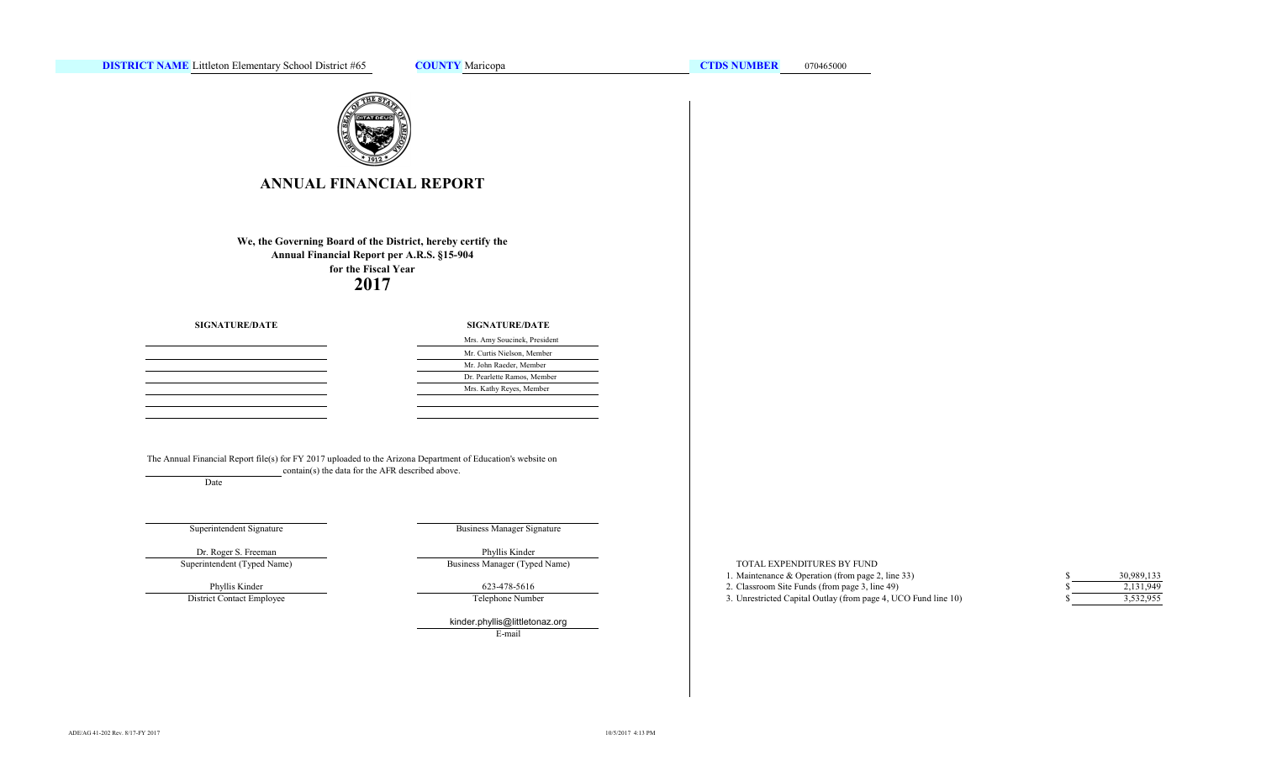

# **ANNUAL FINANCIAL REPORT**

**2017 We, the Governing Board of the District, hereby certify the Annual Financial Report per A.R.S. §15-904 for the Fiscal Year**

**SIGNATURE/DATE**

### **SIGNATURE/DATE**

| Mrs. Amy Soucinek, President |
|------------------------------|
| Mr. Curtis Nielson, Member   |
| Mr. John Raeder, Member      |
| Dr. Pearlette Ramos, Member  |
| Mrs. Kathy Reyes, Member     |
|                              |

The Annual Financial Report file(s) for FY 2017 uploaded to the Arizona Department of Education's website on contain(s) the data for the AFR described above.

Date

# Superintendent Signature

Business Manager Signature

Business Manager (Typed Name)

Superintendent (Typed Name) Dr. Roger S. Freeman Phyllis Kinder

Phyllis Kinder

District Contact Employee

Telephone Number 623-478-5616

kinder.phyllis@littletonaz.org

E-mail

### TOTAL EXPENDITURES BY FUND

- 1. Maintenance & Operation (from page 2, line 33) \$ 2. Classroom Site Funds (from page 3, line 49) \$
- 3. Unrestricted Capital Outlay (from page 4, UCO Fund line 10) \$

| S. | 30,989,133 |
|----|------------|
| \$ | 2,131,949  |
| S  | 3,532,955  |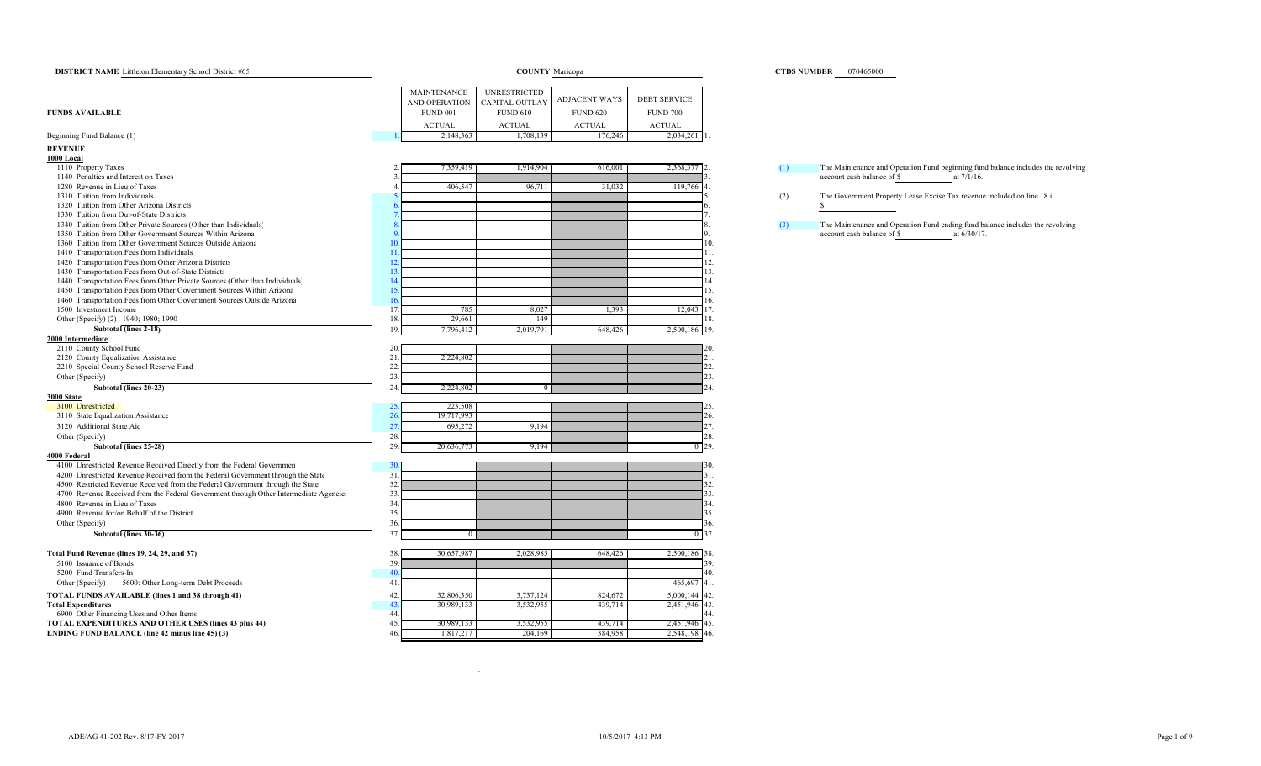| <b>DISTRICT NAME</b> Littleton Elementary School District #65                                                 |                              |                     | <b>COUNTY</b> Maricopa | <b>CTDS NUMBER</b> 070465000 |                                                                                         |
|---------------------------------------------------------------------------------------------------------------|------------------------------|---------------------|------------------------|------------------------------|-----------------------------------------------------------------------------------------|
|                                                                                                               |                              |                     |                        |                              |                                                                                         |
|                                                                                                               | <b>MAINTENANCE</b>           | <b>UNRESTRICTED</b> | <b>ADJACENT WAYS</b>   | <b>DEBT SERVICE</b>          |                                                                                         |
|                                                                                                               | <b>AND OPERATION</b>         | CAPITAL OUTLAY      |                        |                              |                                                                                         |
| <b>FUNDS AVAILABLE</b>                                                                                        | <b>FUND 001</b>              | <b>FUND 610</b>     | <b>FUND 620</b>        | <b>FUND 700</b>              |                                                                                         |
|                                                                                                               | <b>ACTUAL</b>                | <b>ACTUAL</b>       | <b>ACTUAL</b>          | <b>ACTUAL</b>                |                                                                                         |
| Beginning Fund Balance (1)                                                                                    | 2,148,363                    | 1,708,139           | 176,246                | 2,034,261                    |                                                                                         |
| <b>REVENUE</b>                                                                                                |                              |                     |                        |                              |                                                                                         |
| 1000 Local                                                                                                    |                              |                     |                        |                              |                                                                                         |
| 1110 Property Taxes                                                                                           | 7,359,419                    | 1,914,904           | 616,001                | 2,368,377 2.                 | The Maintenance and Operation Fund beginning fund balance includes the revolving<br>(1) |
| 1140 Penalties and Interest on Taxes                                                                          |                              |                     |                        |                              | account cash balance of \$<br>at 7/1/16.                                                |
| 1280 Revenue in Lieu of Taxes                                                                                 | 406,547                      | 96,711              | 31,032                 | 119,766                      |                                                                                         |
| 1310 Tuition from Individuals                                                                                 |                              |                     |                        |                              | (2)<br>The Government Property Lease Excise Tax revenue included on line 18 is          |
| 1320 Tuition from Other Arizona Districts                                                                     |                              |                     |                        |                              |                                                                                         |
| 1330 Tuition from Out-of-State Districts                                                                      |                              |                     |                        |                              |                                                                                         |
| 1340 Tuition from Other Private Sources (Other than Individuals)                                              |                              |                     |                        |                              | The Maintenance and Operation Fund ending fund balance includes the revolving<br>(3)    |
| 1350 Tuition from Other Government Sources Within Arizona                                                     |                              |                     |                        |                              | account cash balance of \$<br>at 6/30/17.                                               |
| 1360 Tuition from Other Government Sources Outside Arizona                                                    |                              |                     |                        | 10.                          |                                                                                         |
| 1410 Transportation Fees from Individuals                                                                     | -11                          |                     |                        | 11.                          |                                                                                         |
| 1420 Transportation Fees from Other Arizona Districts<br>1430 Transportation Fees from Out-of-State Districts | 12.<br>13                    |                     |                        | 12.<br>13.                   |                                                                                         |
| 1440 Transportation Fees from Other Private Sources (Other than Individuals)                                  | 14                           |                     |                        | 14.                          |                                                                                         |
| 1450 Transportation Fees from Other Government Sources Within Arizona                                         | 15.                          |                     |                        | 15.                          |                                                                                         |
| 1460 Transportation Fees from Other Government Sources Outside Arizona                                        | 16                           |                     |                        | 16.                          |                                                                                         |
| 1500 Investment Income                                                                                        | 17<br>785                    | 8,027               | 1,393                  | 17.<br>12,043                |                                                                                         |
| Other (Specify) (2) 1940; 1980; 1990                                                                          | 18<br>29,661                 | 149                 |                        | 18.                          |                                                                                         |
| Subtotal (lines 2-18)                                                                                         | 19.<br>7,796,412             | 2,019,791           | 648,426                | 2,500,186 19.                |                                                                                         |
| 2000 Intermediate                                                                                             |                              |                     |                        |                              |                                                                                         |
| 2110 County School Fund                                                                                       | 20                           |                     |                        |                              |                                                                                         |
| 2120 County Equalization Assistance                                                                           | 21<br>2,224,802              |                     |                        |                              |                                                                                         |
| 2210 Special County School Reserve Fund                                                                       | 22                           |                     |                        |                              |                                                                                         |
| Other (Specify)                                                                                               | 23.                          |                     |                        | 23.                          |                                                                                         |
| Subtotal (lines 20-23)                                                                                        | 24<br>2,224,802              | $\overline{0}$      |                        |                              |                                                                                         |
| 3000 State                                                                                                    |                              |                     |                        |                              |                                                                                         |
| 3100 Unrestricted                                                                                             | 223,508                      |                     |                        |                              |                                                                                         |
| 3110 State Equalization Assistance                                                                            | 26<br>19,717,993             |                     |                        | 26.                          |                                                                                         |
| 3120 Additional State Aid                                                                                     | 27.<br>695,272               | 9,194               |                        | 27.                          |                                                                                         |
| Other (Specify)                                                                                               | 28.                          |                     |                        | 28.                          |                                                                                         |
| Subtotal (lines 25-28)                                                                                        | 29.<br>20,636,773            | 9,194               |                        | $0 - 29.$                    |                                                                                         |
| 4000 Federal                                                                                                  |                              |                     |                        |                              |                                                                                         |
| 4100 Unrestricted Revenue Received Directly from the Federal Governmen                                        | $\overline{3}$               |                     |                        |                              |                                                                                         |
| 4200 Unrestricted Revenue Received from the Federal Government through the State                              | 31                           |                     |                        | 31.                          |                                                                                         |
| 4500 Restricted Revenue Received from the Federal Government through the State                                | 32                           |                     |                        | 32.                          |                                                                                         |
| 4700 Revenue Received from the Federal Government through Other Intermediate Agencies                         | 33                           |                     |                        | 33.                          |                                                                                         |
| 4800 Revenue in Lieu of Taxes                                                                                 | 34                           |                     |                        | 34                           |                                                                                         |
| 4900 Revenue for/on Behalf of the District                                                                    | 35                           |                     |                        | 35.                          |                                                                                         |
| Other (Specify)                                                                                               | 36                           |                     |                        | 36.                          |                                                                                         |
| Subtotal (lines 30-36)                                                                                        | 37                           |                     |                        | $0\,37.$                     |                                                                                         |
| Total Fund Revenue (lines 19, 24, 29, and 37)                                                                 | 30,657,987<br>38             | 2,028,985           | 648,426                | 2,500,186 38.                |                                                                                         |
| 5100 Issuance of Bonds                                                                                        | 39                           |                     |                        | 39.                          |                                                                                         |
| 5200 Fund Transfers-In                                                                                        | 40                           |                     |                        | 40.                          |                                                                                         |
| 5600: Other Long-term Debt Proceeds<br>Other (Specify)                                                        | $-41$                        |                     |                        | 465,697<br>41.               |                                                                                         |
| TOTAL FUNDS AVAILABLE (lines 1 and 38 through 41)                                                             | 32,806,350<br>42             | 3,737,124           | 824,672                | 5,000,144<br>42.             |                                                                                         |
| <b>Total Expenditures</b>                                                                                     | 4 <sup>5</sup><br>30,989,133 | 3,532,955           | 439,714                | 2,451,946 43.                |                                                                                         |
| 6900 Other Financing Uses and Other Items                                                                     | 44                           |                     |                        |                              |                                                                                         |
| TOTAL EXPENDITURES AND OTHER USES (lines 43 plus 44)                                                          | 45<br>30,989,133             | 3,532,955           | 439,714                | 2,451,946 45.                |                                                                                         |
| <b>ENDING FUND BALANCE (line 42 minus line 45) (3)</b>                                                        | 1,817,217<br>46              | 204,169             | 384,958                | 2,548,198 46.                |                                                                                         |
|                                                                                                               |                              |                     |                        |                              |                                                                                         |

### ADE/AG 41-202 Rev. 8/17-FY 2017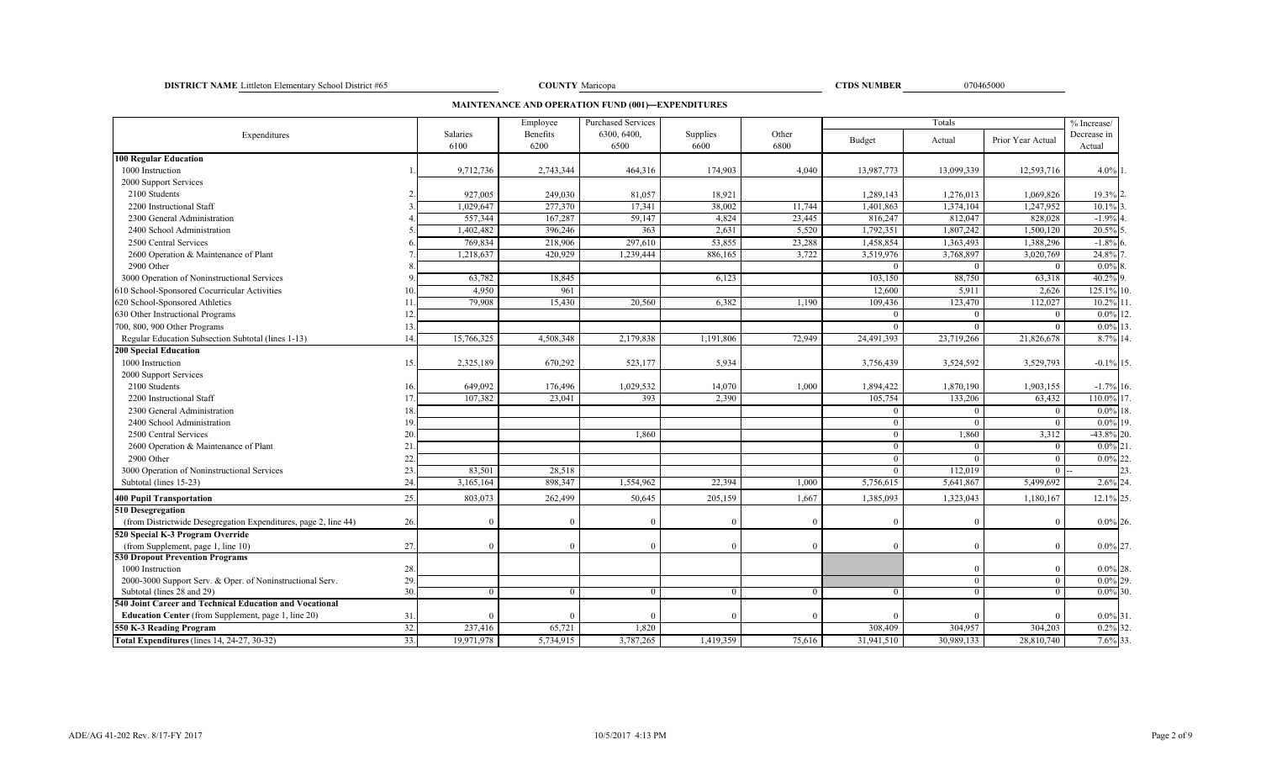**DISTRICT NAME** Littleton Elementary School District #65 070465000 **COUNTY** Maricopa **COUNTY** Maricopa **COUNTY COUNTY COUNTY COUNTY COUNTY COUNTY COUNTY COUNTY COUNTY COUNTY COUNTY COUNTY COUNTY C** 

COUNTY Maricopa

**CTDS NUMBER**

**MAINTENANCE AND OPERATION FUND (001)—EXPENDITURES**

|                                                                    |           |            | Employee  | <b>Purchased Services</b> |           |          |                     | Totals              |                     | % Increase/            |      |
|--------------------------------------------------------------------|-----------|------------|-----------|---------------------------|-----------|----------|---------------------|---------------------|---------------------|------------------------|------|
| Expenditures                                                       |           | Salaries   | Benefits  | 6300, 6400,               | Supplies  | Other    | Budget              | Actual              | Prior Year Actual   | Decrease in            |      |
| <b>100 Regular Education</b>                                       |           | 6100       | 6200      | 6500                      | 6600      | 6800     |                     |                     |                     | Actual                 |      |
| 1000 Instruction                                                   |           | 9,712,736  | 2,743,344 | 464,316                   | 174,903   | 4,040    | 13,987,773          | 13,099,339          | 12,593,716          | $4.0\%$ 1.             |      |
| 2000 Support Services                                              |           |            |           |                           |           |          |                     |                     |                     |                        |      |
| 2100 Students                                                      |           | 927,005    | 249,030   | 81,057                    | 18,921    |          | 1,289,143           | 1,276,013           | 1,069,826           | 19.3% 2.               |      |
| 2200 Instructional Staff                                           |           | 1,029,647  | 277,370   | 17,341                    | 38,002    | 11,744   | 1,401,863           | 1,374,104           | 1,247,952           | 10.1%                  |      |
| 2300 General Administration                                        |           | 557,344    | 167,287   | 59,147                    | 4,824     | 23,445   | 816,247             | 812,047             | 828,028             | $-1.9%$                |      |
| 2400 School Administration                                         |           | 1,402,482  | 396,246   | 363                       | 2,631     | 5,520    | 1,792,351           | 1,807,242           | 1,500,120           | 20.5%                  |      |
| 2500 Central Services                                              |           | 769,834    | 218,906   | 297,610                   | 53,855    | 23,288   | 1,458,854           | 1,363,493           | 1,388,296           | $-1.8%$ 6              |      |
| 2600 Operation & Maintenance of Plant                              |           | 1,218,637  | 420,929   | 1,239,444                 | 886,165   | 3,722    | 3,519,976           | 3,768,897           | 3,020,769           | 24.8%                  |      |
| 2900 Other                                                         |           |            |           |                           |           |          | $\theta$            | $\Omega$            | $\theta$            |                        |      |
|                                                                    |           |            |           |                           |           |          |                     |                     |                     | $0.0\%$<br>40.2% 9     |      |
| 3000 Operation of Noninstructional Services                        |           | 63,782     | 18,845    |                           | 6,123     |          | 103,150             | 88,750              | 63,318              | 125.1%                 |      |
| 610 School-Sponsored Cocurricular Activities                       | 10        | 4,950      | 961       |                           |           |          | 12,600              | 5,911               | 2.626               |                        |      |
| 620 School-Sponsored Athletics<br>630 Other Instructional Programs | 11<br>12. | 79,908     | 15,430    | 20,560                    | 6,382     | 1,190    | 109,436<br>$\Omega$ | 123,470<br>$\Omega$ | 112,027<br>$\Omega$ | 10.2%<br>$0.0\%$       |      |
|                                                                    |           |            |           |                           |           |          | $\Omega$            | $\Omega$            |                     |                        |      |
| 700, 800, 900 Other Programs                                       | 13        |            |           |                           |           |          |                     |                     | $\Omega$            | $0.0\%$ 13<br>8.7% 14. |      |
| Regular Education Subsection Subtotal (lines 1-13)                 | 14        | 15,766,325 | 4,508,348 | 2,179,838                 | 1,191,806 | 72,949   | 24,491,393          | 23,719,266          | 21,826,678          |                        |      |
| <b>200 Special Education</b>                                       |           |            |           |                           |           |          |                     |                     |                     |                        |      |
| 1000 Instruction                                                   | 15.       | 2,325,189  | 670,292   | 523,177                   | 5,934     |          | 3,756,439           | 3,524,592           | 3,529,793           | $-0.1\%$ 15.           |      |
| 2000 Support Services                                              |           |            |           |                           |           |          |                     |                     |                     |                        |      |
| 2100 Students                                                      | 16.       | 649,092    | 176,496   | 1,029,532                 | 14,070    | 1,000    | 1,894,422           | 1,870,190           | 1,903,155           | $-1.7\%$ 16.           |      |
| 2200 Instructional Staff                                           |           | 107,382    | 23,041    | 393                       | 2,390     |          | 105,754             | 133,206             | 63,432              | 110.0% 17.             |      |
| 2300 General Administration                                        | 18        |            |           |                           |           |          | $\theta$            | $\Omega$            | $\overline{0}$      | $0.0\%$                |      |
| 2400 School Administration                                         | 19        |            |           |                           |           |          | $\Omega$            | $\Omega$            | $\theta$            | $0.0\%$ 19.            |      |
| 2500 Central Services                                              | 20.       |            |           | 1.860                     |           |          | $\mathbf{0}$        | 1,860               | 3,312               | $-43.8\%$ 20           |      |
| 2600 Operation & Maintenance of Plant                              | 21        |            |           |                           |           |          | $\Omega$            | $\Omega$            | $\overline{0}$      | $0.0\%$                |      |
| 2900 Other                                                         | 22.       |            |           |                           |           |          | $\Omega$            | $\Omega$            | $\Omega$            | $0.0\%$                | 6122 |
| 3000 Operation of Noninstructional Services                        | 23.       | 83,501     | 28,518    |                           |           |          | $\mathbf{0}$        | 112,019             | $\overline{0}$      |                        | つく   |
| Subtotal (lines 15-23)                                             | 24        | 3,165,164  | 898,347   | 1,554,962                 | 22,394    | 1,000    | 5,756,615           | 5,641,867           | 5,499,692           | $2.6\%$ 24.            |      |
| <b>400 Pupil Transportation</b>                                    | 25.       | 803,073    | 262,499   | 50,645                    | 205,159   | 1,667    | 1,385,093           | 1,323,043           | 1,180,167           | 12.1% 25.              |      |
| 510 Desegregation                                                  |           |            |           |                           |           |          |                     |                     |                     |                        |      |
| (from Districtwide Desegregation Expenditures, page 2, line 44)    | 26.       |            |           |                           | $\Omega$  | $\Omega$ | $\Omega$            |                     | $\Omega$            | $0.0\%$ 26.            |      |
| 520 Special K-3 Program Override                                   |           |            |           |                           |           |          |                     |                     |                     |                        |      |
| (from Supplement, page 1, line 10)                                 | 27.       |            | $\Omega$  | $\sqrt{ }$                | $\Omega$  | $\Omega$ | $\Omega$            | $\Omega$            | $\theta$            | $0.0\%$ 27.            |      |
| <b>530 Dropout Prevention Programs</b>                             |           |            |           |                           |           |          |                     |                     |                     |                        |      |
| 1000 Instruction                                                   | 28.       |            |           |                           |           |          |                     |                     |                     | $0.0\%$ 28.            |      |
| 2000-3000 Support Serv. & Oper. of Noninstructional Serv.          | 29.       |            |           |                           |           |          |                     | $\theta$            | $\overline{0}$      | $0.0\%$ 29             |      |
| Subtotal (lines 28 and 29)                                         | 30.       | $\Omega$   | $\Omega$  | $\Omega$                  | $\Omega$  | $\Omega$ | $\overline{0}$      | $\overline{0}$      | $\overline{0}$      | $0.0\%$ 30.            |      |
| 540 Joint Career and Technical Education and Vocational            |           |            |           |                           |           |          |                     |                     |                     |                        |      |
| <b>Education Center</b> (from Supplement, page 1, line 20)         | 31        |            |           |                           | $\Omega$  | $\Omega$ | $\Omega$            |                     |                     | $0.0\%$ 31.            |      |
| 550 K-3 Reading Program                                            | 32.       | 237,416    | 65,721    | 1,820                     |           |          | 308,409             | 304,957             | 304,203             | $0.2\%$ 32.            |      |
| Total Expenditures (lines 14, 24-27, 30-32)                        | 33.       | 19,971,978 | 5,734,915 | 3,787,265                 | 1,419,359 | 75,616   | 31,941,510          | 30,989,133          | 28,810,740          | 7.6% 33.               |      |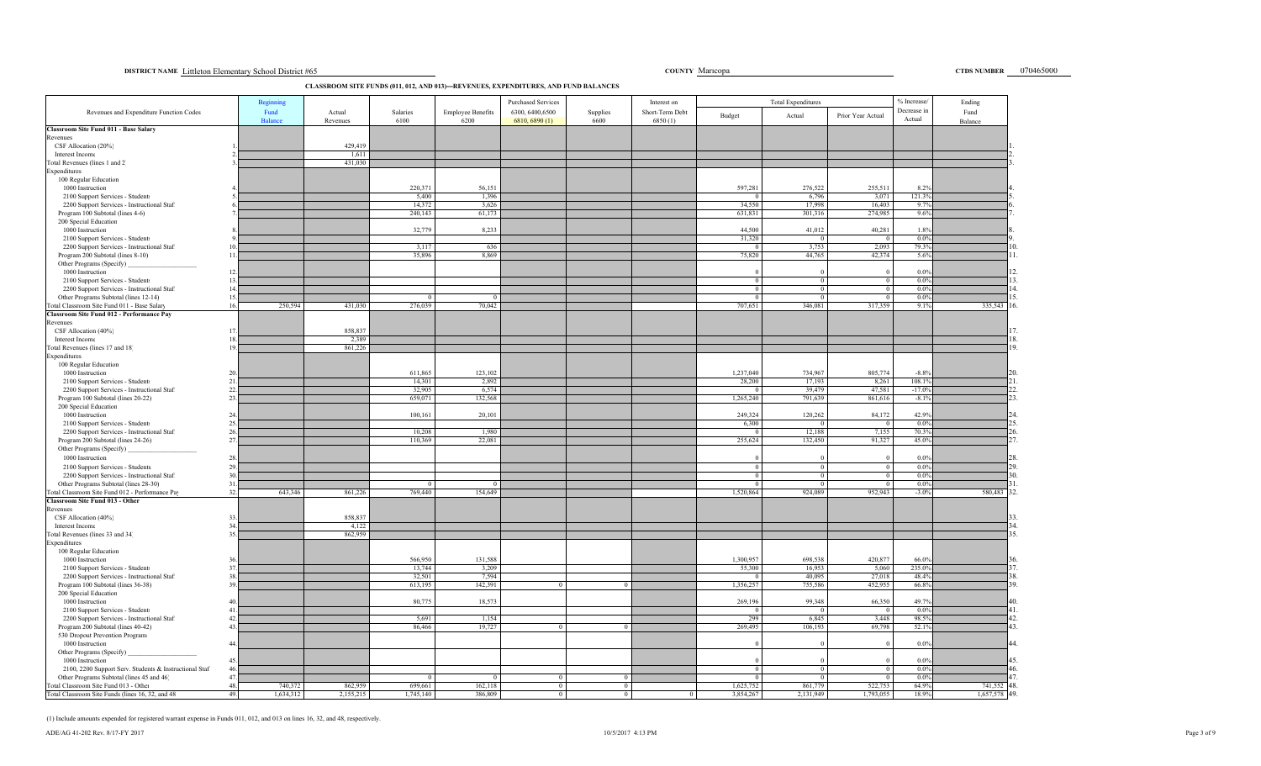### **DISTRICT NAME** Littleton Elementary School District #65 Maricopa **DISTRICT NAME COUNTY MARICOPA COUNTY Maricopa COUNTY Maricopa COUNTY Maricopa COUNTY MARICOPA COUNTY COUNTY COUNTY COUNTY COUNTY COUNTY**

CTDS NUMBER 070465000

## **CLASSROOM SITE FUNDS (011, 012, AND 013)—REVENUES, EXPENDITURES, AND FUND BALANCES**

|                                                                                      |                | Beginning      |           |                 |                          | <b>Purchased Services</b> |            | Interest on     |                          | <b>Total Expenditures</b> |                          | % Increase            | Ending          |
|--------------------------------------------------------------------------------------|----------------|----------------|-----------|-----------------|--------------------------|---------------------------|------------|-----------------|--------------------------|---------------------------|--------------------------|-----------------------|-----------------|
| Revenues and Expenditure Function Codes                                              |                | Fund           | Actual    | Salaries        | <b>Employee Benefits</b> | 6300, 6400, 6500          | Supplies   | Short-Term Debt | Budget                   | Actual                    | Prior Year Actual        | Decrease in<br>Actual | Fund            |
| <b>Classroom Site Fund 011 - Base Salary</b>                                         |                | <b>Balance</b> | Revenues  | 6100            | 6200                     | 6810, 6890 (1)            | 6600       | 6850(1)         |                          |                           |                          |                       | Balance         |
| Revenues                                                                             |                |                |           |                 |                          |                           |            |                 |                          |                           |                          |                       |                 |
| CSF Allocation (20%)                                                                 |                |                | 429,419   |                 |                          |                           |            |                 |                          |                           |                          |                       |                 |
| Interest Income                                                                      |                |                | 1,611     |                 |                          |                           |            |                 |                          |                           |                          |                       |                 |
| Total Revenues (lines 1 and 2)                                                       |                |                | 431.030   |                 |                          |                           |            |                 |                          |                           |                          |                       |                 |
| Expenditures<br>100 Regular Education                                                |                |                |           |                 |                          |                           |            |                 |                          |                           |                          |                       |                 |
| 1000 Instruction                                                                     |                |                |           | 220,371         | 56.151                   |                           |            |                 | 597,281                  | 276,522                   | 255,511                  | 8.2%                  |                 |
| 2100 Support Services - Students                                                     |                |                |           | 5,400           | 1,396                    |                           |            |                 |                          | 6,796                     | 3,071                    | 121.39                |                 |
| 2200 Support Services - Instructional Staft                                          |                |                |           | 14,372          | 3,626                    |                           |            |                 | 34,550                   | 17,998                    | 16,403                   | 9.7%                  |                 |
| Program 100 Subtotal (lines 4-6)                                                     |                |                |           | 240,143         | 61,173                   |                           |            |                 | 631,831                  | 301,316                   | 274,985                  | 9.6%                  |                 |
| 200 Special Education                                                                |                |                |           |                 |                          |                           |            |                 |                          |                           |                          |                       |                 |
| 1000 Instruction                                                                     |                |                |           | 32,779          | 8,233                    |                           |            |                 | 44,500                   | 41,012                    | 40,281<br>$\overline{0}$ | 1.8%                  |                 |
| 2100 Support Services - Students                                                     | 10             |                |           | 3,117           | 636                      |                           |            |                 | 31,320<br>$\overline{0}$ | 3.753                     | 2,093                    | 0.0%<br>79.3%         |                 |
| 2200 Support Services - Instructional Staff<br>Program 200 Subtotal (lines 8-10)     | 11             |                |           | 35,896          | 8,869                    |                           |            |                 | 75,820                   | 44,765                    | 42,374                   | 5.6%                  |                 |
| Other Programs (Specify)                                                             |                |                |           |                 |                          |                           |            |                 |                          |                           |                          |                       |                 |
| 1000 Instruction                                                                     | 12             |                |           |                 |                          |                           |            |                 |                          |                           | $\Omega$                 | 0.0%                  |                 |
| 2100 Support Services - Students                                                     | 1 <sup>2</sup> |                |           |                 |                          |                           |            |                 |                          |                           |                          | 0.0%                  |                 |
| 2200 Support Services - Instructional Staff                                          | 14             |                |           |                 |                          |                           |            |                 | $\Omega$                 |                           |                          | 0.0%                  |                 |
| Other Programs Subtotal (lines 12-14)                                                | 15             |                |           |                 |                          |                           |            |                 |                          |                           | $\Omega$                 | $0.0\%$               |                 |
| Total Classroom Site Fund 011 - Base Salary                                          | 16             | 250,594        | 431,030   | 276,039         | 70,042                   |                           |            |                 | 707,651                  | 346,081                   | 317,359                  | 9.1%                  | 335,543         |
| Classroom Site Fund 012 - Performance Pay<br>Revenues                                |                |                |           |                 |                          |                           |            |                 |                          |                           |                          |                       |                 |
| CSF Allocation (40%)                                                                 | 17.            |                | 858,837   |                 |                          |                           |            |                 |                          |                           |                          |                       |                 |
| Interest Income                                                                      | 18             |                | 2,389     |                 |                          |                           |            |                 |                          |                           |                          |                       |                 |
| Total Revenues (lines 17 and 18)                                                     | 19.            |                | 861,226   |                 |                          |                           |            |                 |                          |                           |                          |                       |                 |
| Expenditures                                                                         |                |                |           |                 |                          |                           |            |                 |                          |                           |                          |                       |                 |
| 100 Regular Education                                                                |                |                |           |                 |                          |                           |            |                 |                          |                           |                          |                       |                 |
| 1000 Instruction                                                                     | 20             |                |           | 611,865         | 123,102                  |                           |            |                 | 1,237,040                | 734,967                   | 805,774                  | $-8.8%$               |                 |
| 2100 Support Services - Students                                                     | 21             |                |           | 14,301          | 2,892                    |                           |            |                 | 28,200                   | 17,193                    | 8,261                    | 108.1%                |                 |
| 2200 Support Services - Instructional Staft                                          | 22<br>23       |                |           | 32,905          | 6,574                    |                           |            |                 |                          | 39,47                     | 47,581                   | $-17.09$              |                 |
| Program 100 Subtotal (lines 20-22)<br>200 Special Education                          |                |                |           | 659,071         | 132,568                  |                           |            |                 | 1,265,240                | 791,639                   | 861,616                  | $-8.1%$               |                 |
| 1000 Instruction                                                                     | 24             |                |           | 100,161         | 20,101                   |                           |            |                 | 249,324                  | 120,262                   | 84,172                   | 42.9%                 |                 |
| 2100 Support Services - Students                                                     | 25             |                |           |                 |                          |                           |            |                 | 6,300                    | $^{\prime}$               | $\Omega$                 | 0.0%                  |                 |
| 2200 Support Services - Instructional Staft                                          | 26             |                |           | 10,208          | 1,980                    |                           |            |                 | $\Omega$                 | 12,188                    | 7,155                    | 70.3%                 |                 |
| Program 200 Subtotal (lines 24-26)                                                   | 27             |                |           | 110,369         | 22,081                   |                           |            |                 | 255,624                  | 132,450                   | 91,327                   | 45.0%                 |                 |
| Other Programs (Specify)                                                             |                |                |           |                 |                          |                           |            |                 |                          |                           |                          |                       |                 |
| 1000 Instruction                                                                     | 28             |                |           |                 |                          |                           |            |                 |                          |                           | $\Omega$                 | 0.0%                  |                 |
| 2100 Support Services - Students                                                     | 29             |                |           |                 |                          |                           |            |                 |                          | $\Omega$                  | $\Omega$                 | 0.0%                  |                 |
| 2200 Support Services - Instructional Staff<br>Other Programs Subtotal (lines 28-30) | 30<br>31       |                |           |                 |                          |                           |            |                 |                          |                           | $\mathbf{0}$<br>$\Omega$ | 0.0%<br>0.0%          |                 |
| Total Classroom Site Fund 012 - Performance Pay                                      | 32.            | 643,346        | 861,226   | 769,440         | 154,649                  |                           |            |                 | 1.520,864                | 924.089                   | 952,943                  | $-3.0%$               | 580,483         |
| Classroom Site Fund 013 - Other                                                      |                |                |           |                 |                          |                           |            |                 |                          |                           |                          |                       |                 |
| Revenues                                                                             |                |                |           |                 |                          |                           |            |                 |                          |                           |                          |                       |                 |
| CSF Allocation (40%)                                                                 | 33             |                | 858,837   |                 |                          |                           |            |                 |                          |                           |                          |                       |                 |
| Interest Income                                                                      | 34             |                | 4,122     |                 |                          |                           |            |                 |                          |                           |                          |                       |                 |
| Total Revenues (lines 33 and 34)                                                     | 35             |                | 862,959   |                 |                          |                           |            |                 |                          |                           |                          |                       |                 |
| Expenditures                                                                         |                |                |           |                 |                          |                           |            |                 |                          |                           |                          |                       |                 |
| 100 Regular Education<br>1000 Instruction                                            | 36             |                |           | 566,950         | 131,588                  |                           |            |                 | 1,300,957                | 698,538                   | 420,877                  | 66.0%                 |                 |
| 2100 Support Services - Students                                                     | 37             |                |           | 13,744          | 3,209                    |                           |            |                 | 55,300                   | 16,953                    | 5.060                    | 235.0%                |                 |
| 2200 Support Services - Instructional Staft                                          | 38             |                |           | 32,501          | 7,594                    |                           |            |                 |                          | 40,095                    | 27,018                   | 48.4%                 |                 |
| Program 100 Subtotal (lines 36-38)                                                   | 39.            |                |           | 613,195         | 142,391                  |                           | $\Omega$   |                 | 1,356,257                | 755,586                   | 452,955                  | 66.8%                 |                 |
| 200 Special Education                                                                |                |                |           |                 |                          |                           |            |                 |                          |                           |                          |                       |                 |
| 1000 Instruction                                                                     | 40             |                |           | 80,775          | 18,573                   |                           |            |                 | 269,196                  | 99,348                    | 66,350                   | 49.7%                 |                 |
| 2100 Support Services - Students                                                     | 41             |                |           |                 |                          |                           |            |                 |                          |                           | $\Omega$                 | 0.0%                  |                 |
| 2200 Support Services - Instructional Staft                                          | 42             |                |           | 5,691<br>86,466 | 1,154                    | $\Omega$                  | $\Omega$   |                 | 299                      | 6.845                     | 3,448                    | 98.5%                 |                 |
| Program 200 Subtotal (lines 40-42)<br>530 Dropout Prevention Programs                | 43             |                |           |                 | 19,727                   |                           |            |                 | 269,495                  | 106,193                   | 69,798                   | 52.1%                 |                 |
| 1000 Instruction                                                                     | 44             |                |           |                 |                          |                           |            |                 |                          |                           |                          | 0.0%                  |                 |
| Other Programs (Specify)                                                             |                |                |           |                 |                          |                           |            |                 |                          |                           |                          |                       |                 |
| 1000 Instruction                                                                     | 45             |                |           |                 |                          |                           |            |                 |                          |                           |                          | 0.0%                  |                 |
| 2100, 2200 Support Serv. Students & Instructional Staf                               | 46             |                |           |                 |                          |                           |            |                 | $\Omega$                 | $\overline{0}$            | $\overline{0}$           | 0.0%                  | 16              |
| Other Programs Subtotal (lines 45 and 46)                                            | 47             |                |           |                 |                          | $^{\circ}$                | $^{\circ}$ |                 | $\Omega$                 | $\Omega$                  | $\sqrt{2}$               | $0.0\%$               |                 |
| Total Classroom Site Fund 013 - Other                                                | 48             | 740,372        | 862,959   | 699,661         | 162,118                  |                           |            |                 | 1,625,752                | 861,779                   | 522,753                  | 64.9%                 | 741,552<br>18   |
| Total Classroom Site Funds (lines 16, 32, and 48                                     | 49.            | 1,634,312      | 2,155,215 | 1,745,140       | 386,809                  |                           |            |                 | 3,854,267                | 2,131,949                 | 1,793,055                | 18.9%                 | 49<br>1,657,578 |

(1) Include amounts expended for registered warrant expense in Funds 011, 012, and 013 on lines 16, 32, and 48, respectively.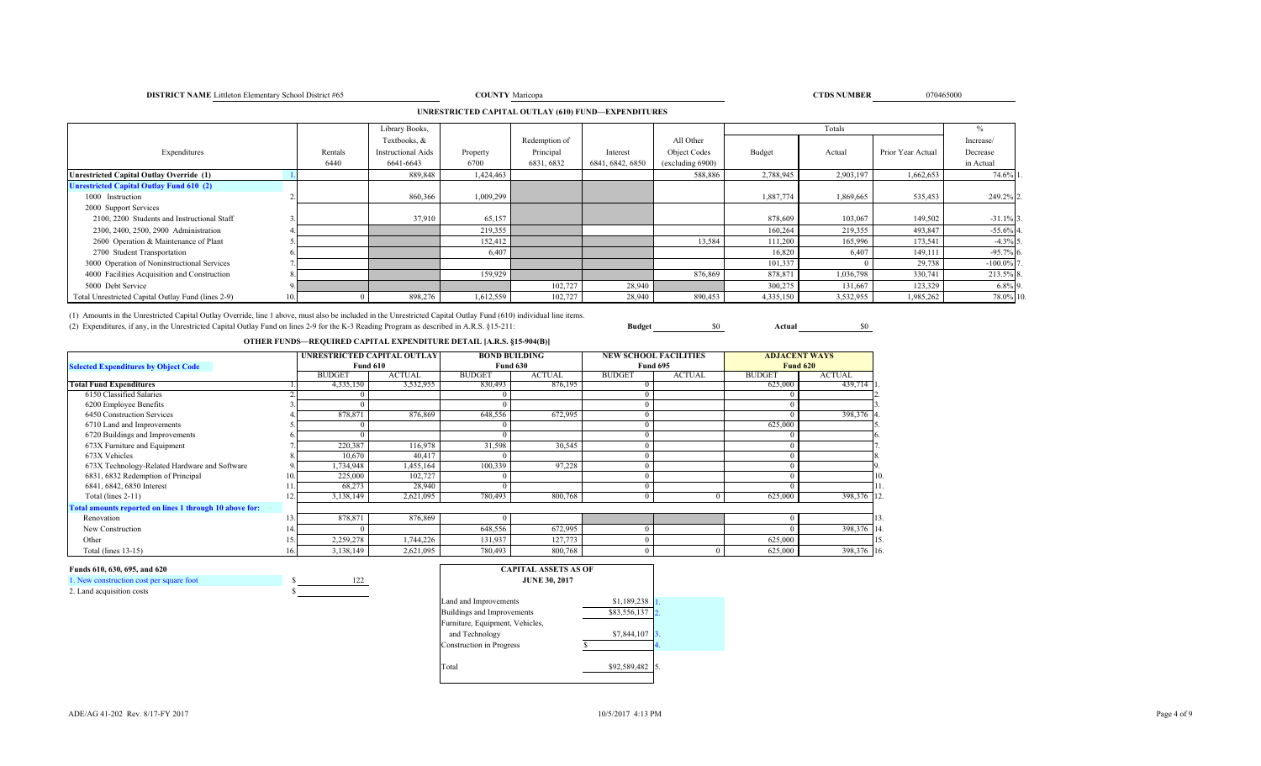### **DISTRICT NAME** Littleton Elementary School District #65 **COUNTY**

### **TIPS** Number 2008 **CTDS NUMBER** 070465000

## **UNRESTRICTED CAPITAL OUTLAY (610) FUND—EXPENDITURES**

|                                                    |      |         | Library Books,            |           |               |                  |                  |           | Totals    |                   | %           |
|----------------------------------------------------|------|---------|---------------------------|-----------|---------------|------------------|------------------|-----------|-----------|-------------------|-------------|
|                                                    |      |         | Textbooks, &              |           | Redemption of |                  | All Other        |           |           |                   | Increase/   |
| Expenditures                                       |      | Rentals | <b>Instructional Aids</b> | Property  | Principal     | Interest         | Object Codes     | Budget    | Actual    | Prior Year Actual | Decrease    |
|                                                    |      | 6440    | 6641-6643                 | 6700      | 6831, 6832    | 6841, 6842, 6850 | (excluding 6900) |           |           |                   | in Actual   |
| Unrestricted Capital Outlay Override (1)           |      |         | 889,848                   | 1,424,463 |               |                  | 588,886          | 2,788,945 | 2,903,197 | 1,662,653         | 74.6%       |
| <b>Unrestricted Capital Outlay Fund 610 (2)</b>    |      |         |                           |           |               |                  |                  |           |           |                   |             |
| 1000 Instruction                                   |      |         | 860,366                   | 1,009,299 |               |                  |                  | 1,887,774 | 1,869,665 | 535,453           | 249.2% 2    |
| 2000 Support Services                              |      |         |                           |           |               |                  |                  |           |           |                   |             |
| 2100, 2200 Students and Instructional Staff        |      |         | 37,910                    | 65,157    |               |                  |                  | 878,609   | 103,067   | 149,502           | $-31.1\%$ 3 |
| 2300, 2400, 2500, 2900 Administration              |      |         |                           | 219,355   |               |                  |                  | 160,264   | 219,355   | 493,847           | $-55.6%$ 4  |
| 2600 Operation & Maintenance of Plant              |      |         |                           | 152,412   |               |                  | 13,584           | 111,200   | 165,996   | 173,541           | $-4.3\%$ 5  |
| 2700 Student Transportation                        |      |         |                           | 6,407     |               |                  |                  | 16,820    | 6,407     | 149,111           | $-95.7\%$ 6 |
| 3000 Operation of Noninstructional Services        |      |         |                           |           |               |                  |                  | 101,337   |           | 29,738            | $-100.0\%$  |
| 4000 Facilities Acquisition and Construction       |      |         |                           | 159.929   |               |                  | 876,869          | 878,871   | 1,036,798 | 330,741           | 213.5% 8    |
| 5000 Debt Service                                  |      |         |                           |           | 102,727       | 28,940           |                  | 300,275   | 131,667   | 123,329           | $6.8\%$ 9.  |
| Total Unrestricted Capital Outlay Fund (lines 2-9) | 10.1 |         | 898,276                   | 1,612,559 | 102,727       | 28,940           | 890,453          | 4,335,150 | 3,532,955 | 1,985,262         | 78.0% 10    |

(1) Amounts in the Unrestricted Capital Outlay Override, line 1 above, must also be included in the Unrestricted Capital Outlay Fund (610) individual line items. (2) Expenditures, if any, in the Unrestricted Capital Outlay Fund on lines 2-9 for the K-3 Reading Program as described in A.R.S. §15-211: **Budget** \$0 **Actual** \$0

# **OTHER FUNDS—REQUIRED CAPITAL EXPENDITURE DETAIL [A.R.S. §15-904(B)]**

|                                                         |     | UNRESTRICTED CAPITAL OUTLAY |                 |               | <b>BOND BUILDING</b> |               | <b>NEW SCHOOL FACILITIES</b> |               | <b>ADJACENT WAYS</b> |
|---------------------------------------------------------|-----|-----------------------------|-----------------|---------------|----------------------|---------------|------------------------------|---------------|----------------------|
| <b>Selected Expenditures by Object Code</b>             |     |                             | <b>Fund 610</b> |               | <b>Fund 630</b>      |               | <b>Fund 695</b>              |               | <b>Fund 620</b>      |
|                                                         |     | <b>BUDGET</b>               | <b>ACTUAL</b>   | <b>BUDGET</b> | <b>ACTUAL</b>        | <b>BUDGET</b> | <b>ACTUAL</b>                | <b>BUDGET</b> | <b>ACTUAL</b>        |
| <b>Total Fund Expenditures</b>                          |     | 4,335,150                   | 3,532,955       | 830,493       | 876,195              |               |                              | 625,000       | 439,714 1            |
| 6150 Classified Salaries                                |     |                             |                 |               |                      |               |                              |               |                      |
| 6200 Employee Benefits                                  |     |                             |                 |               |                      |               |                              |               |                      |
| 6450 Construction Services                              |     | 878,871                     | 876,869         | 648,556       | 672,995              |               |                              |               | 398,376 4.           |
| 6710 Land and Improvements                              |     |                             |                 |               |                      |               |                              | 625,000       |                      |
| 6720 Buildings and Improvements                         |     |                             |                 |               |                      |               |                              |               |                      |
| 673X Furniture and Equipment                            |     | 220,387                     | 116,978         | 31,598        | 30,545               |               |                              |               |                      |
| 673X Vehicles                                           |     | 10,670                      | 40,417          |               |                      |               |                              |               | 8.                   |
| 673X Technology-Related Hardware and Software           |     | ,734,948                    | 1,455,164       | 100,339       | 97,228               |               |                              |               |                      |
| 6831, 6832 Redemption of Principal                      | 10  | 225,000                     | 102,727         |               |                      |               |                              |               | 10.                  |
| 6841, 6842, 6850 Interest                               |     | 68,273                      | 28,940          |               |                      |               |                              |               | 11.                  |
| Total (lines 2-11)                                      | 12. | 3,138,149                   | 2,621,095       | 780,493       | 800,768              |               |                              | 625,000       | 398,376 12           |
| Total amounts reported on lines 1 through 10 above for: |     |                             |                 |               |                      |               |                              |               |                      |
| Renovation                                              | 13. | 878,871                     | 876,869         |               |                      |               |                              |               | 13                   |
| New Construction                                        | 14  |                             |                 | 648,556       | 672,995              |               |                              |               | 398,376 14           |
| Other                                                   | 15. | 2,259,278                   | 1,744,226       | 131,937       | 127,773              |               |                              | 625,000       | 15                   |
| Total (lines 13-15)                                     | 16. | 3,138,149                   | 2,621,095       | 780,493       | 800,768              |               |                              | 625,000       | 398,376 16           |

### **Funds 610, 630, 695, and 620**

| 1. New construction cost per square foot |  |
|------------------------------------------|--|
| 2. Land acquisition costs                |  |

| <b>CAPITAL ASSETS AS OF</b><br><b>JUNE 30, 2017</b> |              |                  |
|-----------------------------------------------------|--------------|------------------|
| Land and Improvements                               | \$1,189,238  |                  |
| Buildings and Improvements                          | \$83,556,137 | 2.               |
| Furniture, Equipment, Vehicles,<br>and Technology   | \$7,844,107  | $\overline{3}$ . |
| <b>Construction</b> in Progress                     |              | 4.               |
| Total                                               | \$92,589,482 |                  |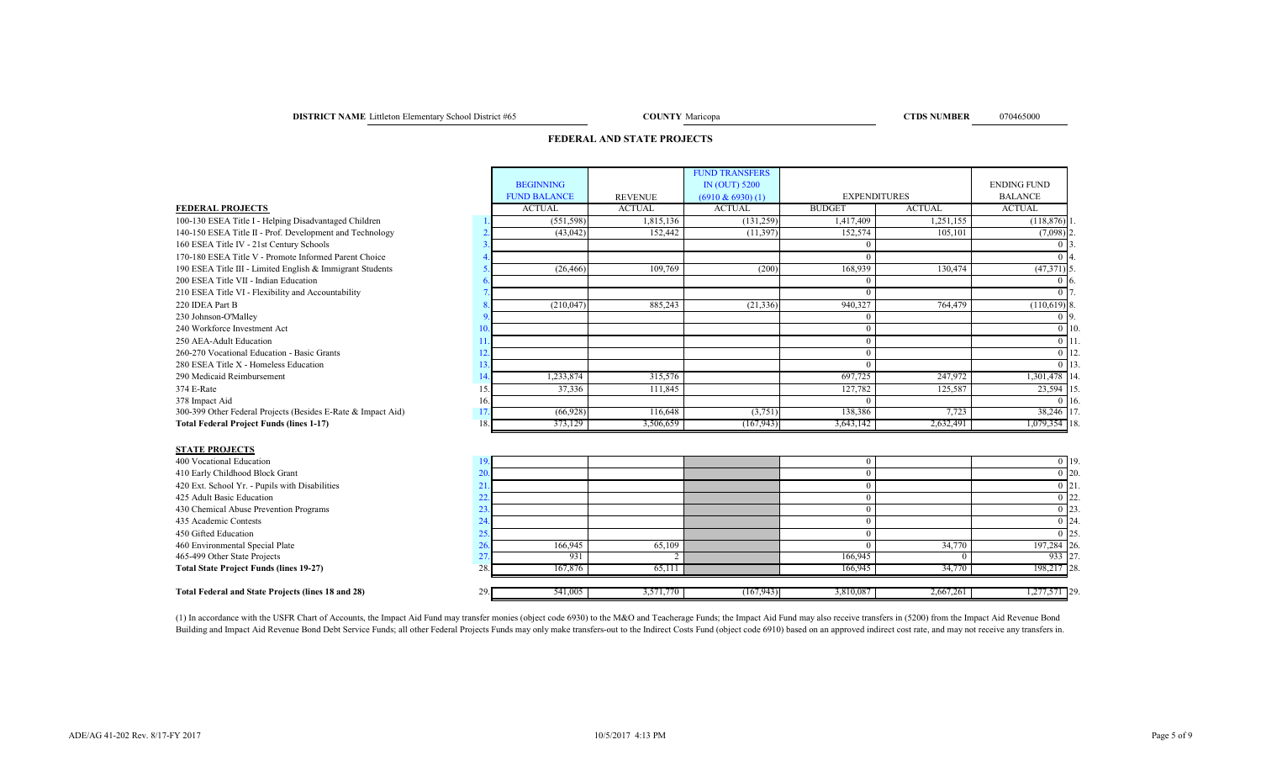**DISTRICT NAME** Littleton Elementary School District #65 **COUNTY** Maricopa **COUNTY** Maricopa **COUNTY** Maricopa **COUNTY** Maricopa **COUNTY** Maricopa **COUNTY** Maricopa **COUNTY COUNTY COUNTY COUNTY COUNTY COUNTY CO** 

COUNTY Maricopa

## **FEDERAL AND STATE PROJECTS**

|                                                              |    |                     |                | <b>FUND TRANSFERS</b> |                     |               |                        |                 |
|--------------------------------------------------------------|----|---------------------|----------------|-----------------------|---------------------|---------------|------------------------|-----------------|
|                                                              |    | <b>BEGINNING</b>    |                | IN (OUT) 5200         |                     |               | <b>ENDING FUND</b>     |                 |
|                                                              |    | <b>FUND BALANCE</b> | <b>REVENUE</b> | $(6910 \& 6930)$ (1)  | <b>EXPENDITURES</b> |               | <b>BALANCE</b>         |                 |
| <b>FEDERAL PROJECTS</b>                                      |    | <b>ACTUAL</b>       | <b>ACTUAL</b>  | <b>ACTUAL</b>         | <b>BUDGET</b>       | <b>ACTUAL</b> | <b>ACTUAL</b>          |                 |
| 100-130 ESEA Title I - Helping Disadvantaged Children        |    | (551, 598)          | 1,815,136      | (131, 259)            | 1,417,409           | 1,251,155     | (118, 876)             |                 |
| 140-150 ESEA Title II - Prof. Development and Technology     |    | (43, 042)           | 152,442        | (11, 397)             | 152,574             | 105.101       | $(7,098)$ <sup>2</sup> |                 |
| 160 ESEA Title IV - 21st Century Schools                     |    |                     |                |                       |                     |               |                        |                 |
| 170-180 ESEA Title V - Promote Informed Parent Choice        |    |                     |                |                       |                     |               |                        |                 |
| 190 ESEA Title III - Limited English & Immigrant Students    |    | (26, 466)           | 109,769        | (200)                 | 168,939             | 130,474       | $(47,371)$ 5           |                 |
| 200 ESEA Title VII - Indian Education                        |    |                     |                |                       |                     |               |                        | 0.16            |
| 210 ESEA Title VI - Flexibility and Accountability           |    |                     |                |                       |                     |               |                        |                 |
| 220 IDEA Part B                                              |    | (210, 047)          | 885.243        | (21, 336)             | 940,327             | 764,479       | $(110,619)$ 8          |                 |
| 230 Johnson-O'Malley                                         |    |                     |                |                       | $\Omega$            |               |                        | $0\,$ 9         |
| 240 Workforce Investment Act                                 |    |                     |                |                       |                     |               |                        | 0 <sup>10</sup> |
| 250 AEA-Adult Education                                      |    |                     |                |                       |                     |               |                        | $0\vert 11$     |
| 260-270 Vocational Education - Basic Grants                  |    |                     |                |                       |                     |               |                        | 0 1 1 2         |
| 280 ESEA Title X - Homeless Education                        |    |                     |                |                       |                     |               |                        | $0$   13        |
| 290 Medicaid Reimbursement                                   |    | 1,233,874           | 315,576        |                       | 697.725             | 247,972       | 1,301,478 14           |                 |
| 374 E-Rate                                                   |    | 37,336              | 111,845        |                       | 127,782             | 125,587       | 23,594 15              |                 |
| 378 Impact Aid                                               | 16 |                     |                |                       | $\Omega$            |               |                        | $0\,116$        |
| 300-399 Other Federal Projects (Besides E-Rate & Impact Aid) |    | (66, 928)           | 116,648        | (3,751)               | 138,386             | 7,723         | 38,246 17              |                 |
| <b>Total Federal Project Funds (lines 1-17)</b>              | 18 | 373,129             | 3,506,659      | (167, 943)            | 3,643,142           | 2,632,491     | 18. 079,354            |                 |
| <b>STATE PROJECTS</b>                                        |    |                     |                |                       |                     |               |                        |                 |
| 400 Vocational Education                                     | 19 |                     |                |                       |                     |               |                        | $0$ 19          |
| 410 Early Childhood Block Grant                              | 20 |                     |                |                       |                     |               |                        | $0\vert 20$     |
| 420 Ext. School Yr. - Pupils with Disabilities               | 21 |                     |                |                       | $\Omega$            |               |                        | $0\vert 21$     |
| 425 Adult Basic Education                                    |    |                     |                |                       |                     |               |                        | $0\vert 22$     |
| 430 Chemical Abuse Prevention Programs                       | 23 |                     |                |                       | $\Omega$            |               |                        | $0$ 23.         |
| 435 Academic Contests                                        | 24 |                     |                |                       | $\Omega$            |               |                        | $0 \; 24$       |
| 450 Gifted Education                                         | 25 |                     |                |                       | $\overline{0}$      |               |                        | $0$ 25          |

460 Environmental Special Plate 197,284 26. 166,945 65,109 0 34,770 197,284 26. 166,945 197,284 26. 465-499 Other State Projects 27. 27. 2001 27. 2002 27. 2003 27. 2003 27. 2004 28: 2004 28: 2006,945 0 933 27. **Total State Project Funds (lines 19-27)** 28. 28. 167,876 65,111 65,111 166,945 166,945 34,770 34,770 198,217 **Total Federal and State Projects (lines 18 and 28)** 29. **541,005** 3,571,770 (167,943) 3,810,087 2,667,261 1,277,571 29.

(1) In accordance with the USFR Chart of Accounts, the Impact Aid Fund may transfer monies (object code 6930) to the M&O and Teacherage Funds; the Impact Aid Fund may also receive transfers in (5200) from the Impact Aid Re Building and Impact Aid Revenue Bond Debt Service Funds; all other Federal Projects Funds may only make transfers-out to the Indirect Costs Fund (object code 6910) based on an approved indirect cost rate, and may not recei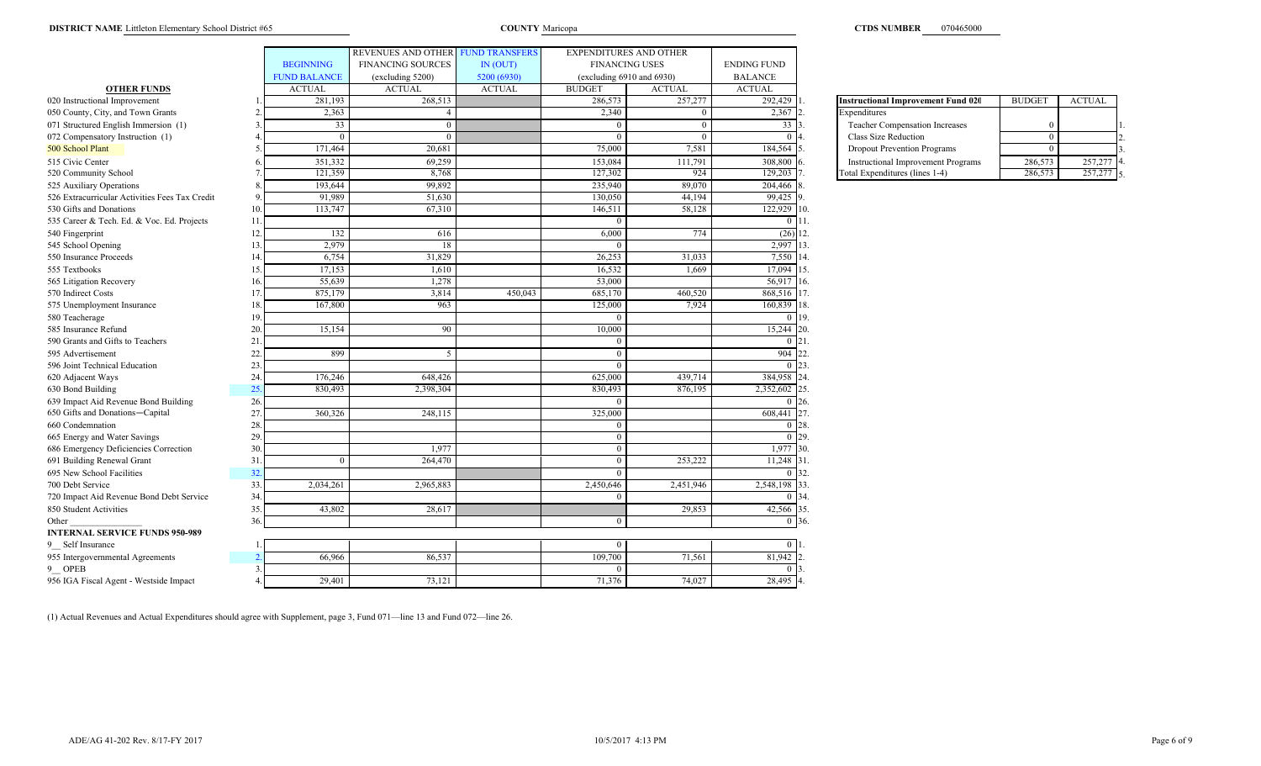### **DISTRICT NAME** Littleton Elementary School District #65 Maricopa Maricopa COUNTY Maricopa

|                                                |     |                     | REVENUES AND OTHER FUND TRANSFERS |               | EXPENDITURES AND OTHER         |                       |                    |                                           |                |               |
|------------------------------------------------|-----|---------------------|-----------------------------------|---------------|--------------------------------|-----------------------|--------------------|-------------------------------------------|----------------|---------------|
|                                                |     | <b>BEGINNING</b>    | <b>FINANCING SOURCES</b>          | IN (OUT)      |                                | <b>FINANCING USES</b> | <b>ENDING FUND</b> |                                           |                |               |
|                                                |     | <b>FUND BALANCE</b> | (excluding 5200)                  | 5200 (6930)   | (excluding $6910$ and $6930$ ) |                       | <b>BALANCE</b>     |                                           |                |               |
| <b>OTHER FUNDS</b>                             |     | <b>ACTUAL</b>       | <b>ACTUAL</b>                     | <b>ACTUAL</b> | <b>BUDGET</b>                  | <b>ACTUAL</b>         | <b>ACTUAL</b>      |                                           |                |               |
| 020 Instructional Improvement                  |     | 281,193             | 268,513                           |               | 286,573                        | 257,277               | 292,429            | <b>Instructional Improvement Fund 020</b> | <b>BUDGET</b>  | <b>ACTUAL</b> |
| 050 County, City, and Town Grants              |     | 2,363               | 4                                 |               | 2,340                          | $\overline{0}$        | 2,367              | Expenditures                              |                |               |
| 071 Structured English Immersion (1)           |     | $\overline{33}$     | $\Omega$                          |               |                                | $\Omega$              | 33                 | Teacher Compensation Increases            |                |               |
| 072 Compensatory Instruction (1)               |     | $\theta$            |                                   |               |                                | $\overline{0}$        |                    | Class Size Reduction                      | $\Omega$       |               |
| 500 School Plant                               |     | 171,464             | 20,681                            |               | 75,000                         | 7,581                 | 184,564            | <b>Dropout Prevention Programs</b>        | $\overline{0}$ |               |
| 515 Civic Center                               |     | 351,332             | 69,259                            |               | 153,084                        | 111,791               | 308,800            | <b>Instructional Improvement Programs</b> | 286,573        | 257,277       |
| 520 Community School                           |     | 121,359             | 8,768                             |               | 127,302                        | 924                   | 129,203            | Total Expenditures (lines 1-4)            | 286,573        | 257,277       |
| 525 Auxiliary Operations                       |     | 193,644             | 99,892                            |               | 235,940                        | 89,070                | 204,466            |                                           |                |               |
| 526 Extracurricular Activities Fees Tax Credit |     | 91.989              | 51,630                            |               | 130,050                        | 44,194                | 99,425             |                                           |                |               |
| 530 Gifts and Donations                        | 10  | 113,747             | 67,310                            |               | 146,511                        | 58,128                | 122,929 10.        |                                           |                |               |
| 535 Career & Tech. Ed. & Voc. Ed. Projects     | 11  |                     |                                   |               |                                |                       | $0 \mid 11$ .      |                                           |                |               |
| 540 Fingerprint                                | 12  | 132                 | 616                               |               | 6,000                          | 774                   | (26)               | 12.                                       |                |               |
| 545 School Opening                             | 13  | 2,979               | 18                                |               |                                |                       | 2,997              | 13                                        |                |               |
| 550 Insurance Proceeds                         | 14  | 6,754               | 31,829                            |               | 26,253                         | 31,033                | 7,550 14           |                                           |                |               |
| 555 Textbooks                                  | 15  | 17,153              | 1,610                             |               | 16.532                         | 1.669                 | 17,094             | 15.                                       |                |               |
| 565 Litigation Recovery                        | 16  | 55,639              | 1,278                             |               | 53,000                         |                       | 56,917 16.         |                                           |                |               |
| 570 Indirect Costs                             | 17  | 875,179             | 3,814                             | 450,043       | 685,170                        | 460,520               | 868,516 17.        |                                           |                |               |
| 575 Unemployment Insurance                     | 18  | 167,800             | 963                               |               | 125,000                        | 7,924                 | 160,839            | 18                                        |                |               |
| 580 Teacherage                                 | 19  |                     |                                   |               |                                |                       |                    | <b>19.</b>                                |                |               |
| 585 Insurance Refund                           | 20  | 15,154              | 90                                |               | 10,000                         |                       | 15,244 20          |                                           |                |               |
| 590 Grants and Gifts to Teachers               | 21  |                     |                                   |               |                                |                       | $\Omega$           | 121                                       |                |               |
| 595 Advertisement                              | 22  | 899                 | $\sim$                            |               |                                |                       | 904                | 22                                        |                |               |
| 596 Joint Technical Education                  | 23  |                     |                                   |               | $\Omega$                       |                       | 0 <sup>23</sup>    |                                           |                |               |
| 620 Adjacent Ways                              | 24  | 176,246             | 648,426                           |               | 625,000                        | 439,714               | 384,958            |                                           |                |               |
| 630 Bond Building                              | 25  | 830,493             | 2,398,304                         |               | 830,493                        | 876,195               | 2,352,602          |                                           |                |               |
| 639 Impact Aid Revenue Bond Building           | 26  |                     |                                   |               |                                |                       | $0\,126$           |                                           |                |               |
| 650 Gifts and Donations-Capital                | 27  | 360,326             | 248,115                           |               | 325,000                        |                       | 608,441            | 27                                        |                |               |
| 660 Condemnation                               | 28  |                     |                                   |               |                                |                       |                    | 28                                        |                |               |
| 665 Energy and Water Savings                   | 29  |                     |                                   |               | $\Omega$                       |                       | $0\,$ 29.          |                                           |                |               |
| 686 Emergency Deficiencies Correction          | 30  |                     | 1,977                             |               | $\Omega$                       |                       | 1,977 30.          |                                           |                |               |
| 691 Building Renewal Grant                     | 31  | $\Omega$            | 264,470                           |               |                                | 253,222               | 11,248 31          |                                           |                |               |
| 695 New School Facilities                      | 32  |                     |                                   |               |                                |                       | 0 32               |                                           |                |               |
| 700 Debt Service                               | 33. | 2,034,261           | 2,965,883                         |               | 2,450,646                      | 2,451,946             | 2,548,198          | 133                                       |                |               |
| 720 Impact Aid Revenue Bond Debt Service       | 34  |                     |                                   |               |                                |                       |                    |                                           |                |               |
| 850 Student Activities                         | 35  | 43,802              | 28,617                            |               |                                | 29,853                | 42,566 35          |                                           |                |               |
| Other                                          | 36  |                     |                                   |               | $\Omega$                       |                       | $\theta$           | 36.                                       |                |               |
| <b>INTERNAL SERVICE FUNDS 950-989</b>          |     |                     |                                   |               |                                |                       |                    |                                           |                |               |
| 9 Self Insurance                               |     |                     |                                   |               |                                |                       | $\overline{0}$     |                                           |                |               |
| 955 Intergovernmental Agreements               |     | 66,966              | 86,537                            |               | 109,700                        | 71,561                | 81,942             |                                           |                |               |
| 9 OPEB                                         |     |                     |                                   |               |                                |                       |                    |                                           |                |               |
| 956 IGA Fiscal Agent - Westside Impact         |     | 29,401              | 73,121                            |               | 71,376                         | 74,027                | 28,495 4.          |                                           |                |               |

| <b>Instructional Improvement Fund 020</b> | <b>BUDGET</b> | <b>ACTUAL</b> |  |
|-------------------------------------------|---------------|---------------|--|
| Expenditures                              |               |               |  |
| Teacher Compensation Increases            |               |               |  |
| Class Size Reduction                      |               |               |  |
| <b>Dropout Prevention Programs</b>        |               |               |  |
| <b>Instructional Improvement Programs</b> | 286,573       | 257,277       |  |
| Total Expenditures (lines 1-4)            | 286.573       |               |  |

(1) Actual Revenues and Actual Expenditures should agree with Supplement, page 3, Fund 071—line 13 and Fund 072—line 26.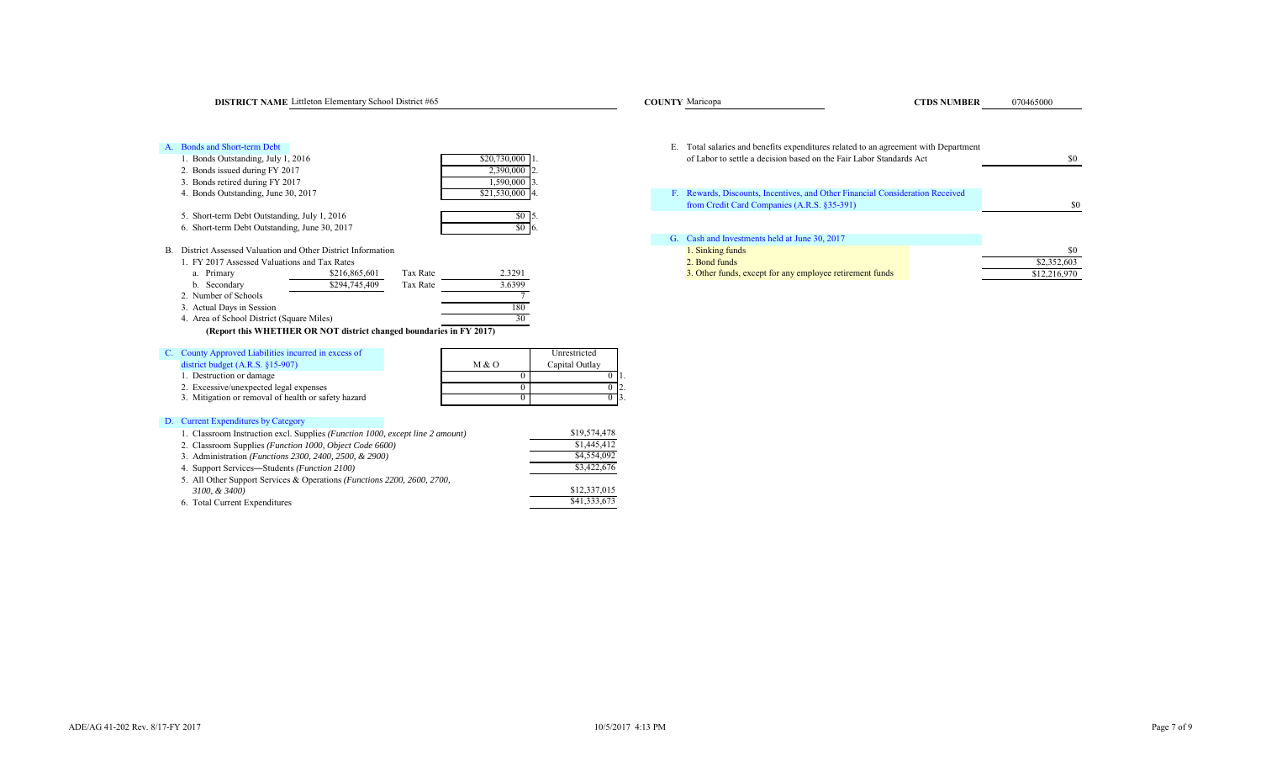| <b>DISTRICT NAME</b> Littleton Elementary School District #65                                                                                                                                                                                                                                                                                                                                                   | <b>COUNTY Maricopa</b><br><b>CTDS NUMBER</b><br>070465000                                                                                                  |                                    |
|-----------------------------------------------------------------------------------------------------------------------------------------------------------------------------------------------------------------------------------------------------------------------------------------------------------------------------------------------------------------------------------------------------------------|------------------------------------------------------------------------------------------------------------------------------------------------------------|------------------------------------|
| A. Bonds and Short-term Debt<br>\$20,730,000 1<br>1. Bonds Outstanding, July 1, 2016                                                                                                                                                                                                                                                                                                                            | E. Total salaries and benefits expenditures related to an agreement with Department<br>of Labor to settle a decision based on the Fair Labor Standards Act | \$0                                |
| 2. Bonds issued during FY 2017<br>2,390,000<br>3. Bonds retired during FY 2017<br>1,590,000 3<br>\$21,530,000 4<br>4. Bonds Outstanding, June 30, 2017                                                                                                                                                                                                                                                          | F. Rewards, Discounts, Incentives, and Other Financial Consideration Received                                                                              |                                    |
| 5. Short-term Debt Outstanding, July 1, 2016<br>$$0\,$ 5.<br>$$0\degree 6.$<br>6. Short-term Debt Outstanding, June 30, 2017                                                                                                                                                                                                                                                                                    | from Credit Card Companies (A.R.S. §35-391)                                                                                                                |                                    |
| B. District Assessed Valuation and Other District Information<br>1. FY 2017 Assessed Valuations and Tax Rates<br>2.3291<br>a. Primary<br>Tax Rate<br>\$216,865,601<br>\$294,745,409<br>3.6399<br>b. Secondary<br>Tax Rate<br>2. Number of Schools<br>3. Actual Days in Session<br>180<br>4. Area of School District (Square Miles)<br>30<br>(Report this WHETHER OR NOT district changed boundaries in FY 2017) | G. Cash and Investments held at June 30, 2017<br>1. Sinking funds<br>2. Bond funds<br>3. Other funds, except for any employee retirement funds             | \$0<br>\$2,352,603<br>\$12,216,970 |
| C. County Approved Liabilities incurred in excess of<br>Unrestricted<br>district budget $(A.R.S. §15-907)$<br>M & O<br>Capital Outlay<br>1. Destruction or damage<br>2. Excessive/unexpected legal expenses<br>3. Mitigation or removal of health or safety hazard                                                                                                                                              |                                                                                                                                                            |                                    |
| D. Current Expenditures by Category<br>\$19,574,478<br>1. Classroom Instruction excl. Supplies (Function 1000, except line 2 amount)<br>\$1,445,412<br>2. Classroom Supplies (Function 1000, Object Code 6600)                                                                                                                                                                                                  |                                                                                                                                                            |                                    |

2. Classroom Supplies (*Function 1000, Object Code 6600)* \$1,445,412<br>3. Administration (*Functions 2300, 2400, 2500, & 2900*) \$4,554,092

4. Support Services—Students *(Function 2100)* \$3,422,676

*3100, & 3400)* \$12,337,015<br> **1980** Total Current Expenditures \$41,333,673

3. Administration *(Functions 2300, 2400, 2500, & 2900)* 

6. Total Current Expenditures

5. All Other Support Services & Operations *(Functions 2200, 2600, 2700,* 

\$0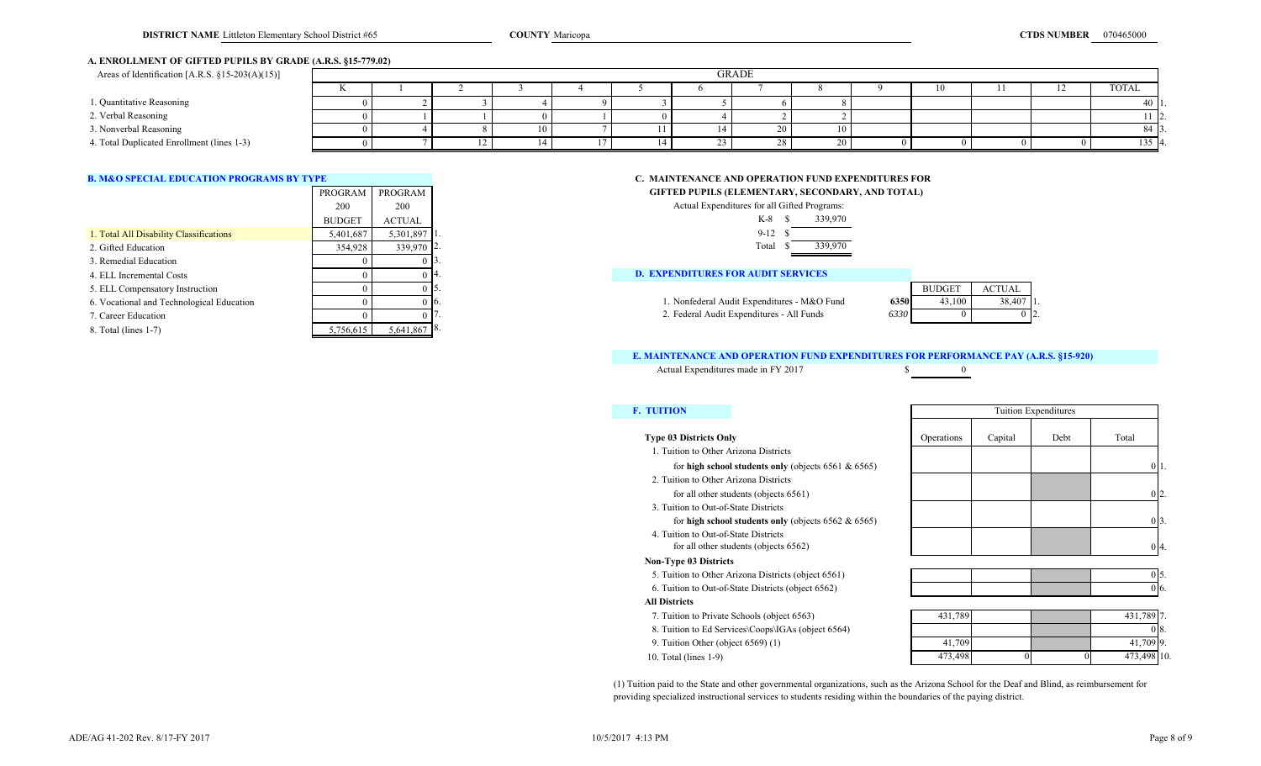# **A. ENROLLMENT OF GIFTED PUPILS BY GRADE (A.R.S. §15-779.02)**

| Areas of Identification [A.R.S. $\S15-203(A)(15)$ ] | <b>GRADE</b> |  |  |  |  |  |  |    |    |  |                      |
|-----------------------------------------------------|--------------|--|--|--|--|--|--|----|----|--|----------------------|
|                                                     |              |  |  |  |  |  |  |    | 10 |  | TOTAL                |
| 1. Quantitative Reasoning                           |              |  |  |  |  |  |  |    |    |  | 40 1.                |
| 2. Verbal Reasoning                                 |              |  |  |  |  |  |  |    |    |  | $1 \, 2.$            |
| 3. Nonverbal Reasoning                              |              |  |  |  |  |  |  |    |    |  | 84 I3                |
| 4. Total Duplicated Enrollment (lines 1-3)          |              |  |  |  |  |  |  | ∠∪ |    |  | $135$ $\blacksquare$ |

|                                           |               | PROGRAM PROGRAM | GIFTED PUPILS (ELEMENTARY, SECONDARY, AND TOTAL)                        |  |
|-------------------------------------------|---------------|-----------------|-------------------------------------------------------------------------|--|
|                                           | 200           | 200             | Actual Expenditures for all Gifted Programs:                            |  |
|                                           | <b>BUDGET</b> | ACTUAL          | 339,970<br>K-8                                                          |  |
| 1. Total All Disability Classifications   | 5,401,687     | 5.301.897 1.    | $9 - 12$                                                                |  |
| 2. Gifted Education                       | 354,928       | 339,970 2.      | 339,970<br>Total                                                        |  |
| 3. Remedial Education                     |               |                 |                                                                         |  |
| 4. ELL Incremental Costs                  |               | 0 I 4           | <b>D. EXPENDITURES FOR AUDIT SERVICES</b>                               |  |
| 5. ELL Compensatory Instruction           |               |                 | <b>ACTUAL</b><br><b>BUDGET</b>                                          |  |
| 6. Vocational and Technological Education |               | 0 I to          | 38,407<br>1. Nonfederal Audit Expenditures - M&O Fund<br>43,100<br>6350 |  |
| 7. Career Education                       |               |                 | 2. Federal Audit Expenditures - All Funds<br>6330                       |  |
| 8. Total (lines 1-7)                      | 5,756,615     | $5,641,867$ 8.  |                                                                         |  |

# **B. M&O SPECIAL EDUCATION PROGRAMS BY TYPE CONSUMING THE CONSUMING CONSUMING THE CONSUMING AND OPERATION FUND EXPENDITURES FOR GIFTED PUPILS (ELEMENTARY, SECONDARY, AND TOTAL)**

| 200       | 200            |            | Actual Expenditures for all Gifted Programs: |      |               |
|-----------|----------------|------------|----------------------------------------------|------|---------------|
| BUDGET    | <b>ACTUAL</b>  |            | 339,970<br>K-8                               |      |               |
| 5,401,687 | $5,301,897$ 1. |            | $9-12$                                       |      |               |
| 354,928   |                | 339,970 2. | 339,970<br>Total                             |      |               |
|           |                |            |                                              |      |               |
|           |                | - 14.      | <b>D. EXPENDITURES FOR AUDIT SERVICES</b>    |      |               |
|           |                | IJ.        |                                              |      | <b>BUDGET</b> |
|           |                | -16.       | 1. Nonfederal Audit Expenditures - M&O Fund  | 6350 |               |
|           |                |            | 2. Federal Audit Expenditures - All Funds    | 6330 |               |

# **E. MAINTENANCE AND OPERATION FUND EXPENDITURES FOR PERFORMANCE PAY (A.R.S. §15-920)**

Actual Expenditures made in FY 2017 \$

# **E. TUITION**

## **Type 03 Districts Only**

10. Total (lines 1-9)

 **Non-Type 03 Districts** 5. Tuition to Other Arizona Districts (object 6561) 6. Tuition to Out-of-State Districts (object 6562)  **All Districts** 7. Tuition to Private Schools (object 6563) 8. Tuition to Ed Services\Coops\IGAs (object 6564) 9. Tuition Other (object 6569) (1) 2. Tuition to Other Arizona Districts for all other students (objects 6561) 4. Tuition to Out-of-State Districts for all other students (objects 6562) 1. Tuition to Other Arizona Districts for **high school students only** (objects 6561 & 6565) 3. Tuition to Out-of-State Districts for **high school students only** (objects 6562 & 6565)

|            |         | Tuition Expenditures |          |    |
|------------|---------|----------------------|----------|----|
| Operations | Capital | Debt                 | Total    |    |
|            |         |                      | $\theta$ | 1. |
|            |         |                      |          |    |
|            |         |                      |          | 2. |
|            |         |                      | $\Omega$ | 3. |
|            |         |                      |          | 4. |

| 431,789 7. |  | 431,789 |
|------------|--|---------|
|            |  |         |
| 41,709 9.  |  | 41,709  |
| 473,498 10 |  | 473,498 |

(1) Tuition paid to the State and other governmental organizations, such as the Arizona School for the Deaf and Blind, as reimbursement for providing specialized instructional services to students residing within the boundaries of the paying district.